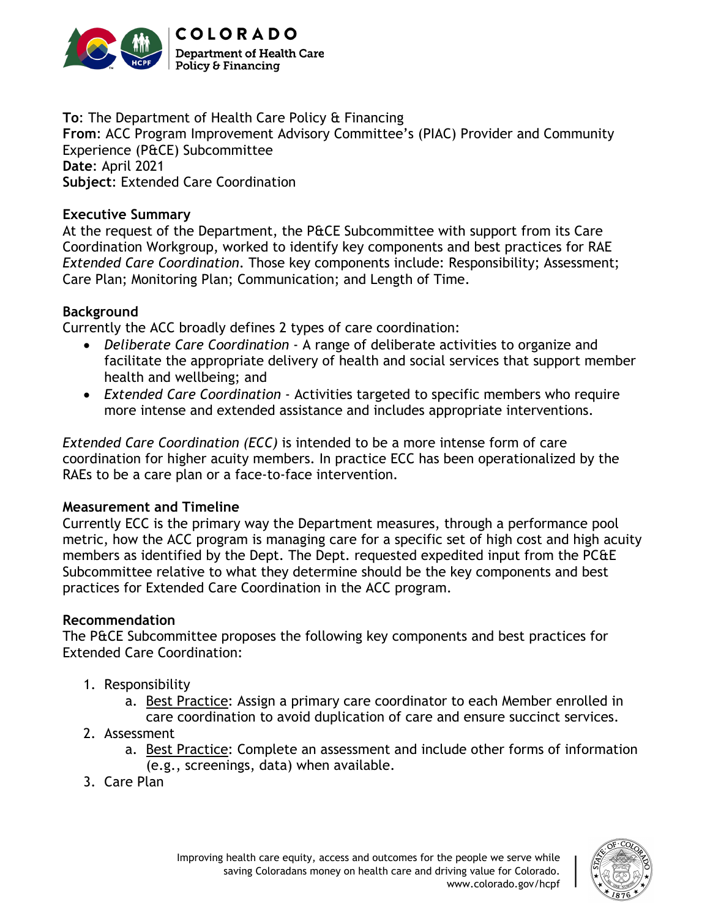

**To**: The Department of Health Care Policy & Financing **From**: ACC Program Improvement Advisory Committee's (PIAC) Provider and Community Experience (P&CE) Subcommittee **Date**: April 2021 **Subject**: Extended Care Coordination

## **Executive Summary**

At the request of the Department, the P&CE Subcommittee with support from its Care Coordination Workgroup, worked to identify key components and best practices for RAE *Extended Care Coordination*. Those key components include: Responsibility; Assessment; Care Plan; Monitoring Plan; Communication; and Length of Time.

## **Background**

Currently the ACC broadly defines 2 types of care coordination:

- *Deliberate Care Coordination* A range of deliberate activities to organize and facilitate the appropriate delivery of health and social services that support member health and wellbeing; and
- *Extended Care Coordination*  Activities targeted to specific members who require more intense and extended assistance and includes appropriate interventions.

*Extended Care Coordination (ECC)* is intended to be a more intense form of care coordination for higher acuity members. In practice ECC has been operationalized by the RAEs to be a care plan or a face-to-face intervention.

## **Measurement and Timeline**

Currently ECC is the primary way the Department measures, through a performance pool metric, how the ACC program is managing care for a specific set of high cost and high acuity members as identified by the Dept. The Dept. requested expedited input from the PC&E Subcommittee relative to what they determine should be the key components and best practices for Extended Care Coordination in the ACC program.

## **Recommendation**

The P&CE Subcommittee proposes the following key components and best practices for Extended Care Coordination:

- 1. Responsibility
	- a. Best Practice: Assign a primary care coordinator to each Member enrolled in care coordination to avoid duplication of care and ensure succinct services.
- 2. Assessment
	- a. Best Practice: Complete an assessment and include other forms of information (e.g., screenings, data) when available.
- 3. Care Plan